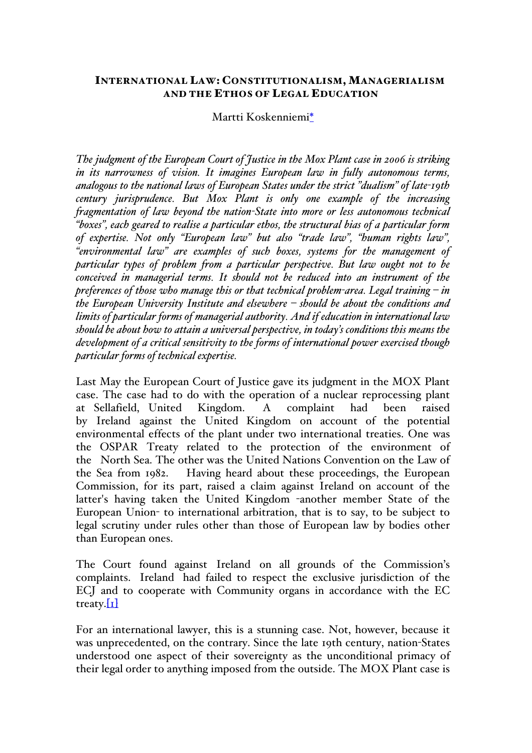## INTERNATIONAL LAW: CONSTITUTIONALISM, MANAGERIALISM AND THE ETHOS OF LEGAL EDUCATION

## Martti Koskenniemi\*

*The judgment of the European Court of Justice in the Mox Plant case in 2006 is striking in its narrowness of vision. It imagines European law in fully autonomous terms, analogous to the national laws of European States under the strict "dualism" of late-19th century jurisprudence. But Mox Plant is only one example of the increasing fragmentation of law beyond the nation-State into more or less autonomous technical "boxes", each geared to realise a particular ethos, the structural bias of a particular form of expertise. Not only "European law" but also "trade law", "human rights law", "environmental law" are examples of such boxes, systems for the management of particular types of problem from a particular perspective. But law ought not to be conceived in managerial terms. It should not be reduced into an instrument of the preferences of those who manage this or that technical problem-area. Legal training – in the European University Institute and elsewhere – should be about the conditions and limits of particular forms of managerial authority. And if education in international law should be about how to attain a universal perspective, in today's conditions this means the development of a critical sensitivity to the forms of international power exercised though particular forms of technical expertise.*

Last May the European Court of Justice gave its judgment in the MOX Plant case. The case had to do with the operation of a nuclear reprocessing plant at Sellafield, United Kingdom. A complaint had been raised by Ireland against the United Kingdom on account of the potential environmental effects of the plant under two international treaties. One was the OSPAR Treaty related to the protection of the environment of the North Sea. The other was the United Nations Convention on the Law of the Sea from 1982. Having heard about these proceedings, the European Commission, for its part, raised a claim against Ireland on account of the latter's having taken the United Kingdom -another member State of the European Union- to international arbitration, that is to say, to be subject to legal scrutiny under rules other than those of European law by bodies other than European ones.

The Court found against Ireland on all grounds of the Commission's complaints. Ireland had failed to respect the exclusive jurisdiction of the ECJ and to cooperate with Community organs in accordance with the EC treaty. $\begin{bmatrix} 1 \end{bmatrix}$ 

For an international lawyer, this is a stunning case. Not, however, because it was unprecedented, on the contrary. Since the late 19th century, nation-States understood one aspect of their sovereignty as the unconditional primacy of their legal order to anything imposed from the outside. The MOX Plant case is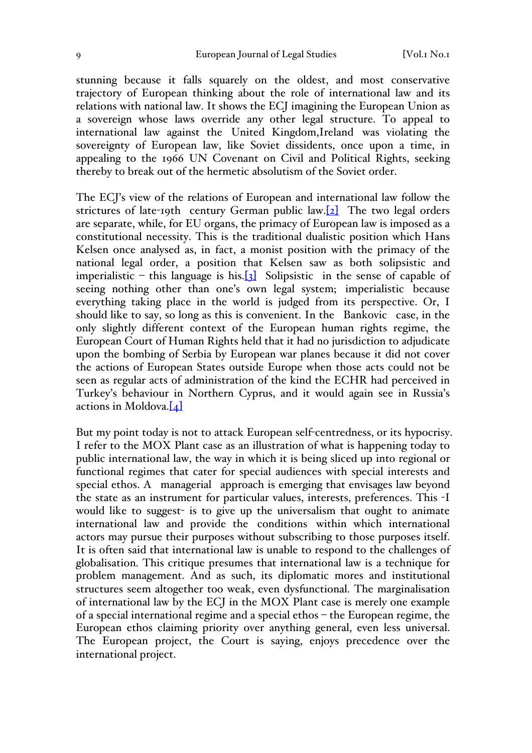stunning because it falls squarely on the oldest, and most conservative trajectory of European thinking about the role of international law and its relations with national law. It shows the ECJ imagining the European Union as a sovereign whose laws override any other legal structure. To appeal to international law against the United Kingdom,Ireland was violating the sovereignty of European law, like Soviet dissidents, once upon a time, in appealing to the 1966 UN Covenant on Civil and Political Rights, seeking thereby to break out of the hermetic absolutism of the Soviet order.

The ECJ's view of the relations of European and international law follow the strictures of late-19th century German public law.<sup>[2]</sup> The two legal orders are separate, while, for EU organs, the primacy of European law is imposed as a constitutional necessity. This is the traditional dualistic position which Hans Kelsen once analysed as, in fact, a monist position with the primacy of the national legal order, a position that Kelsen saw as both solipsistic and imperialistic – this language is his.<sup>[3]</sup> Solipsistic in the sense of capable of seeing nothing other than one's own legal system; imperialistic because everything taking place in the world is judged from its perspective. Or, I should like to say, so long as this is convenient. In the Bankovic case, in the only slightly different context of the European human rights regime, the European Court of Human Rights held that it had no jurisdiction to adjudicate upon the bombing of Serbia by European war planes because it did not cover the actions of European States outside Europe when those acts could not be seen as regular acts of administration of the kind the ECHR had perceived in Turkey's behaviour in Northern Cyprus, and it would again see in Russia's actions in Moldova. $[4]$ 

But my point today is not to attack European self-centredness, or its hypocrisy. I refer to the MOX Plant case as an illustration of what is happening today to public international law, the way in which it is being sliced up into regional or functional regimes that cater for special audiences with special interests and special ethos. A managerial approach is emerging that envisages law beyond the state as an instrument for particular values, interests, preferences. This -I would like to suggest- is to give up the universalism that ought to animate international law and provide the conditions within which international actors may pursue their purposes without subscribing to those purposes itself. It is often said that international law is unable to respond to the challenges of globalisation. This critique presumes that international law is a technique for problem management. And as such, its diplomatic mores and institutional structures seem altogether too weak, even dysfunctional. The marginalisation of international law by the ECJ in the MOX Plant case is merely one example of a special international regime and a special ethos – the European regime, the European ethos claiming priority over anything general, even less universal. The European project, the Court is saying, enjoys precedence over the international project.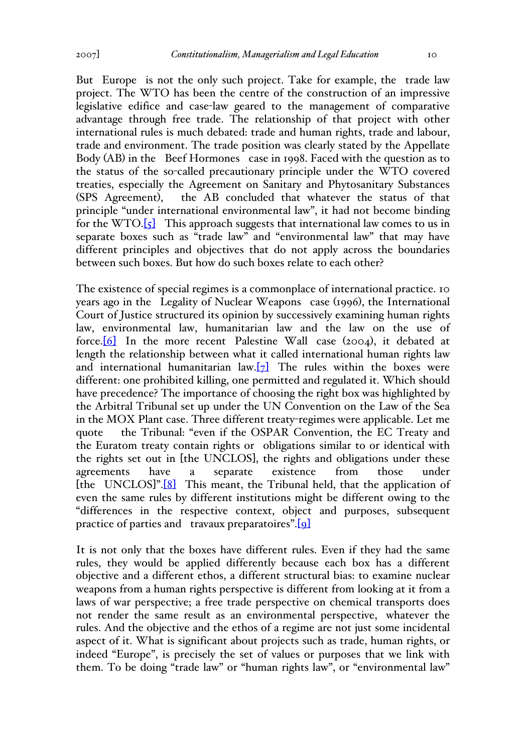But Europe is not the only such project. Take for example, the trade law project. The WTO has been the centre of the construction of an impressive legislative edifice and case-law geared to the management of comparative advantage through free trade. The relationship of that project with other international rules is much debated: trade and human rights, trade and labour, trade and environment. The trade position was clearly stated by the Appellate Body (AB) in the Beef Hormones case in 1998. Faced with the question as to the status of the so-called precautionary principle under the WTO covered treaties, especially the Agreement on Sanitary and Phytosanitary Substances (SPS Agreement), the AB concluded that whatever the status of that principle "under international environmental law", it had not become binding for the WTO. $\begin{bmatrix} \zeta \end{bmatrix}$  This approach suggests that international law comes to us in separate boxes such as "trade law" and "environmental law" that may have different principles and objectives that do not apply across the boundaries between such boxes. But how do such boxes relate to each other?

The existence of special regimes is a commonplace of international practice. 10 years ago in the Legality of Nuclear Weapons case (1996), the International Court of Justice structured its opinion by successively examining human rights law, environmental law, humanitarian law and the law on the use of force.[6] In the more recent Palestine Wall case (2004), it debated at length the relationship between what it called international human rights law and international humanitarian law. $[7]$  The rules within the boxes were different: one prohibited killing, one permitted and regulated it. Which should have precedence? The importance of choosing the right box was highlighted by the Arbitral Tribunal set up under the UN Convention on the Law of the Sea in the MOX Plant case. Three different treaty-regimes were applicable. Let me quote the Tribunal: "even if the OSPAR Convention, the EC Treaty and the Euratom treaty contain rights or obligations similar to or identical with the rights set out in [the UNCLOS], the rights and obligations under these agreements have a separate existence from those under [the UNCLOS]".<sup>[8]</sup> This meant, the Tribunal held, that the application of even the same rules by different institutions might be different owing to the "differences in the respective context, object and purposes, subsequent practice of parties and travaux preparatoires".[9]

It is not only that the boxes have different rules. Even if they had the same rules, they would be applied differently because each box has a different objective and a different ethos, a different structural bias: to examine nuclear weapons from a human rights perspective is different from looking at it from a laws of war perspective; a free trade perspective on chemical transports does not render the same result as an environmental perspective, whatever the rules. And the objective and the ethos of a regime are not just some incidental aspect of it. What is significant about projects such as trade, human rights, or indeed "Europe", is precisely the set of values or purposes that we link with them. To be doing "trade law" or "human rights law", or "environmental law"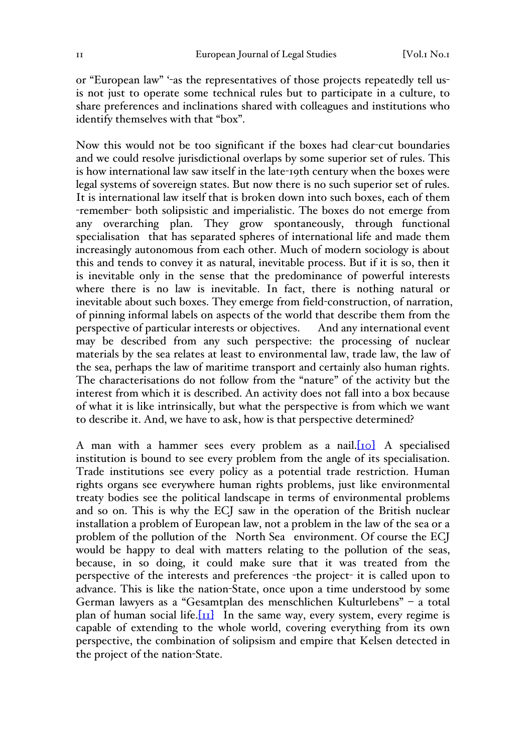or "European law" '-as the representatives of those projects repeatedly tell usis not just to operate some technical rules but to participate in a culture, to share preferences and inclinations shared with colleagues and institutions who identify themselves with that "box".

Now this would not be too significant if the boxes had clear-cut boundaries and we could resolve jurisdictional overlaps by some superior set of rules. This is how international law saw itself in the late-19th century when the boxes were legal systems of sovereign states. But now there is no such superior set of rules. It is international law itself that is broken down into such boxes, each of them -remember- both solipsistic and imperialistic. The boxes do not emerge from any overarching plan. They grow spontaneously, through functional specialisation that has separated spheres of international life and made them increasingly autonomous from each other. Much of modern sociology is about this and tends to convey it as natural, inevitable process. But if it is so, then it is inevitable only in the sense that the predominance of powerful interests where there is no law is inevitable. In fact, there is nothing natural or inevitable about such boxes. They emerge from field-construction, of narration, of pinning informal labels on aspects of the world that describe them from the perspective of particular interests or objectives. And any international event may be described from any such perspective: the processing of nuclear materials by the sea relates at least to environmental law, trade law, the law of the sea, perhaps the law of maritime transport and certainly also human rights. The characterisations do not follow from the "nature" of the activity but the interest from which it is described. An activity does not fall into a box because of what it is like intrinsically, but what the perspective is from which we want to describe it. And, we have to ask, how is that perspective determined?

A man with a hammer sees every problem as a nail.[10] A specialised institution is bound to see every problem from the angle of its specialisation. Trade institutions see every policy as a potential trade restriction. Human rights organs see everywhere human rights problems, just like environmental treaty bodies see the political landscape in terms of environmental problems and so on. This is why the ECJ saw in the operation of the British nuclear installation a problem of European law, not a problem in the law of the sea or a problem of the pollution of the North Sea environment. Of course the ECJ would be happy to deal with matters relating to the pollution of the seas, because, in so doing, it could make sure that it was treated from the perspective of the interests and preferences -the project- it is called upon to advance. This is like the nation-State, once upon a time understood by some German lawyers as a "Gesamtplan des menschlichen Kulturlebens" – a total plan of human social life. $\left[\text{II}\right]$  In the same way, every system, every regime is capable of extending to the whole world, covering everything from its own perspective, the combination of solipsism and empire that Kelsen detected in the project of the nation-State.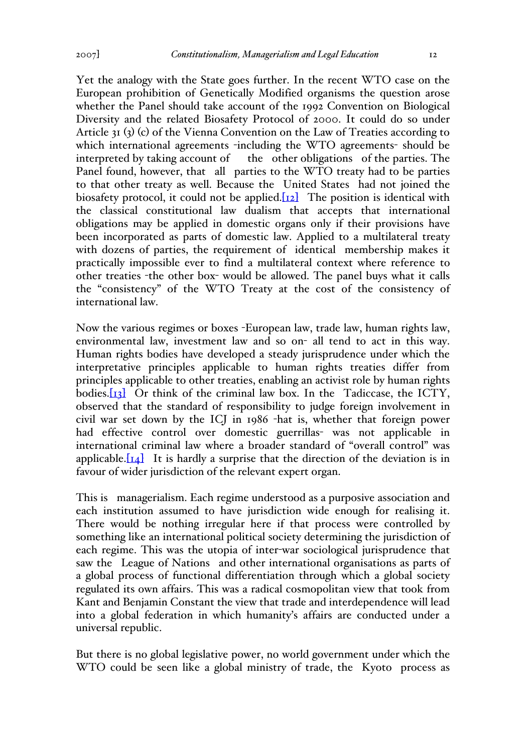Yet the analogy with the State goes further. In the recent WTO case on the European prohibition of Genetically Modified organisms the question arose whether the Panel should take account of the 1992 Convention on Biological Diversity and the related Biosafety Protocol of 2000. It could do so under Article 31 (3) (c) of the Vienna Convention on the Law of Treaties according to which international agreements -including the WTO agreements- should be interpreted by taking account of the other obligations of the parties. The Panel found, however, that all parties to the WTO treaty had to be parties to that other treaty as well. Because the United States had not joined the biosafety protocol, it could not be applied. $[12]$  The position is identical with the classical constitutional law dualism that accepts that international obligations may be applied in domestic organs only if their provisions have been incorporated as parts of domestic law. Applied to a multilateral treaty with dozens of parties, the requirement of identical membership makes it practically impossible ever to find a multilateral context where reference to other treaties -the other box- would be allowed. The panel buys what it calls the "consistency" of the WTO Treaty at the cost of the consistency of international law.

Now the various regimes or boxes -European law, trade law, human rights law, environmental law, investment law and so on- all tend to act in this way. Human rights bodies have developed a steady jurisprudence under which the interpretative principles applicable to human rights treaties differ from principles applicable to other treaties, enabling an activist role by human rights bodies. $[13]$  Or think of the criminal law box. In the Tadiccase, the ICTY, observed that the standard of responsibility to judge foreign involvement in civil war set down by the ICJ in 1986 -hat is, whether that foreign power had effective control over domestic guerrillas- was not applicable in international criminal law where a broader standard of "overall control" was applicable. $\begin{bmatrix} 1 & 1 \\ 1 & 1 \end{bmatrix}$  It is hardly a surprise that the direction of the deviation is in favour of wider jurisdiction of the relevant expert organ.

This is managerialism. Each regime understood as a purposive association and each institution assumed to have jurisdiction wide enough for realising it. There would be nothing irregular here if that process were controlled by something like an international political society determining the jurisdiction of each regime. This was the utopia of inter-war sociological jurisprudence that saw the League of Nations and other international organisations as parts of a global process of functional differentiation through which a global society regulated its own affairs. This was a radical cosmopolitan view that took from Kant and Benjamin Constant the view that trade and interdependence will lead into a global federation in which humanity's affairs are conducted under a universal republic.

But there is no global legislative power, no world government under which the WTO could be seen like a global ministry of trade, the Kyoto process as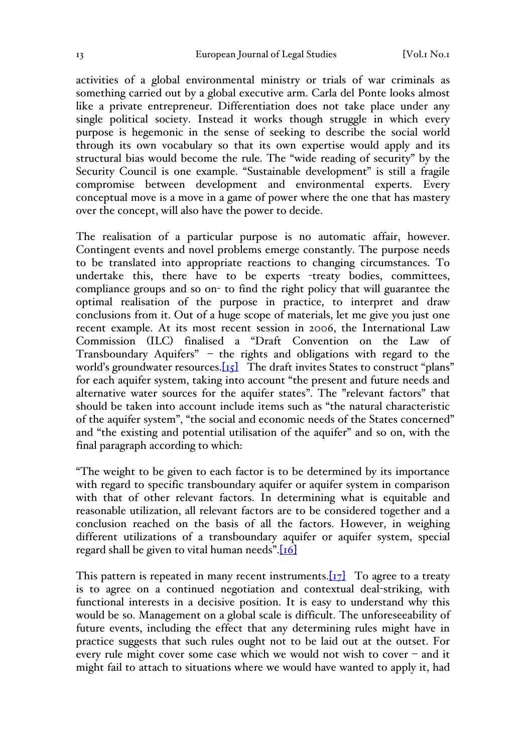activities of a global environmental ministry or trials of war criminals as something carried out by a global executive arm. Carla del Ponte looks almost like a private entrepreneur. Differentiation does not take place under any single political society. Instead it works though struggle in which every purpose is hegemonic in the sense of seeking to describe the social world through its own vocabulary so that its own expertise would apply and its structural bias would become the rule. The "wide reading of security" by the Security Council is one example. "Sustainable development" is still a fragile compromise between development and environmental experts. Every conceptual move is a move in a game of power where the one that has mastery over the concept, will also have the power to decide.

The realisation of a particular purpose is no automatic affair, however. Contingent events and novel problems emerge constantly. The purpose needs to be translated into appropriate reactions to changing circumstances. To undertake this, there have to be experts -treaty bodies, committees, compliance groups and so on- to find the right policy that will guarantee the optimal realisation of the purpose in practice, to interpret and draw conclusions from it. Out of a huge scope of materials, let me give you just one recent example. At its most recent session in 2006, the International Law Commission (ILC) finalised a "Draft Convention on the Law of Transboundary Aquifers" – the rights and obligations with regard to the world's groundwater resources.[15] The draft invites States to construct "plans" for each aquifer system, taking into account "the present and future needs and alternative water sources for the aquifer states". The "relevant factors" that should be taken into account include items such as "the natural characteristic of the aquifer system", "the social and economic needs of the States concerned" and "the existing and potential utilisation of the aquifer" and so on, with the final paragraph according to which:

"The weight to be given to each factor is to be determined by its importance with regard to specific transboundary aquifer or aquifer system in comparison with that of other relevant factors. In determining what is equitable and reasonable utilization, all relevant factors are to be considered together and a conclusion reached on the basis of all the factors. However, in weighing different utilizations of a transboundary aquifer or aquifer system, special regard shall be given to vital human needs".[16]

This pattern is repeated in many recent instruments. $\boxed{17}$  To agree to a treaty is to agree on a continued negotiation and contextual deal-striking, with functional interests in a decisive position. It is easy to understand why this would be so. Management on a global scale is difficult. The unforeseeability of future events, including the effect that any determining rules might have in practice suggests that such rules ought not to be laid out at the outset. For every rule might cover some case which we would not wish to cover  $-$  and it might fail to attach to situations where we would have wanted to apply it, had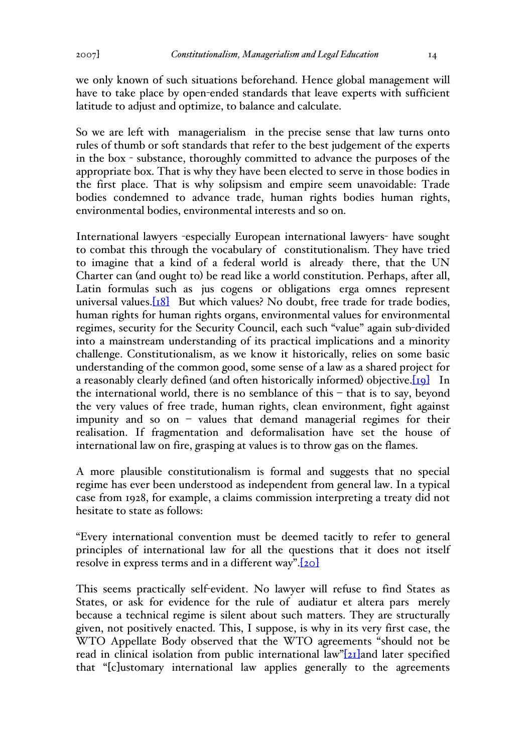we only known of such situations beforehand. Hence global management will have to take place by open-ended standards that leave experts with sufficient latitude to adjust and optimize, to balance and calculate.

So we are left with managerialism in the precise sense that law turns onto rules of thumb or soft standards that refer to the best judgement of the experts in the box - substance, thoroughly committed to advance the purposes of the appropriate box. That is why they have been elected to serve in those bodies in the first place. That is why solipsism and empire seem unavoidable: Trade bodies condemned to advance trade, human rights bodies human rights, environmental bodies, environmental interests and so on.

International lawyers -especially European international lawyers- have sought to combat this through the vocabulary of constitutionalism. They have tried to imagine that a kind of a federal world is already there, that the UN Charter can (and ought to) be read like a world constitution. Perhaps, after all, Latin formulas such as jus cogens or obligations erga omnes represent universal values. $[18]$  But which values? No doubt, free trade for trade bodies, human rights for human rights organs, environmental values for environmental regimes, security for the Security Council, each such "value" again sub-divided into a mainstream understanding of its practical implications and a minority challenge. Constitutionalism, as we know it historically, relies on some basic understanding of the common good, some sense of a law as a shared project for a reasonably clearly defined (and often historically informed) objective. [19] In the international world, there is no semblance of this – that is to say, beyond the very values of free trade, human rights, clean environment, fight against impunity and so on – values that demand managerial regimes for their realisation. If fragmentation and deformalisation have set the house of international law on fire, grasping at values is to throw gas on the flames.

A more plausible constitutionalism is formal and suggests that no special regime has ever been understood as independent from general law. In a typical case from 1928, for example, a claims commission interpreting a treaty did not hesitate to state as follows:

"Every international convention must be deemed tacitly to refer to general principles of international law for all the questions that it does not itself resolve in express terms and in a different way".[20]

This seems practically self-evident. No lawyer will refuse to find States as States, or ask for evidence for the rule of audiatur et altera pars merely because a technical regime is silent about such matters. They are structurally given, not positively enacted. This, I suppose, is why in its very first case, the WTO Appellate Body observed that the WTO agreements "should not be read in clinical isolation from public international law"[21]and later specified that "[c]ustomary international law applies generally to the agreements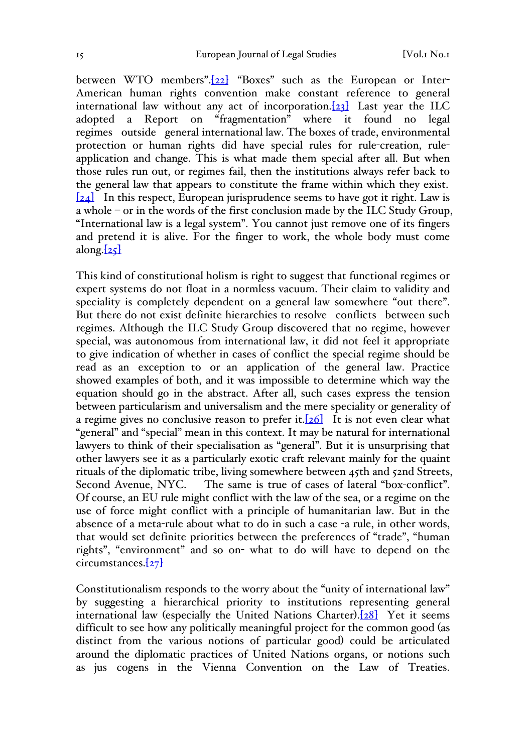between WTO members".[22] "Boxes" such as the European or Inter-American human rights convention make constant reference to general international law without any act of incorporation.<sup>[23]</sup> Last year the ILC adopted a Report on "fragmentation" where it found no legal regimes outside general international law. The boxes of trade, environmental protection or human rights did have special rules for rule-creation, ruleapplication and change. This is what made them special after all. But when those rules run out, or regimes fail, then the institutions always refer back to the general law that appears to constitute the frame within which they exist. [24] In this respect, European jurisprudence seems to have got it right. Law is a whole – or in the words of the first conclusion made by the ILC Study Group, "International law is a legal system". You cannot just remove one of its fingers and pretend it is alive. For the finger to work, the whole body must come along. $[25]$ 

This kind of constitutional holism is right to suggest that functional regimes or expert systems do not float in a normless vacuum. Their claim to validity and speciality is completely dependent on a general law somewhere "out there". But there do not exist definite hierarchies to resolve conflicts between such regimes. Although the ILC Study Group discovered that no regime, however special, was autonomous from international law, it did not feel it appropriate to give indication of whether in cases of conflict the special regime should be read as an exception to or an application of the general law. Practice showed examples of both, and it was impossible to determine which way the equation should go in the abstract. After all, such cases express the tension between particularism and universalism and the mere speciality or generality of a regime gives no conclusive reason to prefer it.  $[26]$  It is not even clear what "general" and "special" mean in this context. It may be natural for international lawyers to think of their specialisation as "general". But it is unsurprising that other lawyers see it as a particularly exotic craft relevant mainly for the quaint rituals of the diplomatic tribe, living somewhere between 45th and 52nd Streets, Second Avenue, NYC. The same is true of cases of lateral "box-conflict". Of course, an EU rule might conflict with the law of the sea, or a regime on the use of force might conflict with a principle of humanitarian law. But in the absence of a meta-rule about what to do in such a case -a rule, in other words, that would set definite priorities between the preferences of "trade", "human rights", "environment" and so on- what to do will have to depend on the circumstances.[27]

Constitutionalism responds to the worry about the "unity of international law" by suggesting a hierarchical priority to institutions representing general international law (especially the United Nations Charter).[28] Yet it seems difficult to see how any politically meaningful project for the common good (as distinct from the various notions of particular good) could be articulated around the diplomatic practices of United Nations organs, or notions such as jus cogens in the Vienna Convention on the Law of Treaties.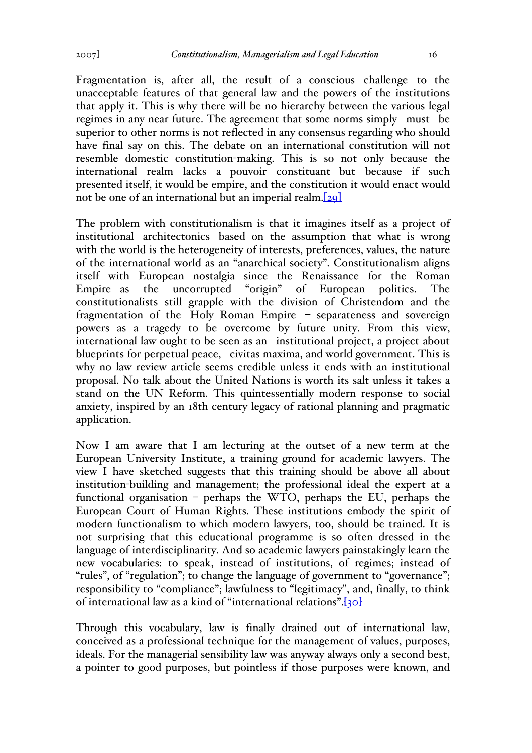Fragmentation is, after all, the result of a conscious challenge to the unacceptable features of that general law and the powers of the institutions that apply it. This is why there will be no hierarchy between the various legal regimes in any near future. The agreement that some norms simply must be superior to other norms is not reflected in any consensus regarding who should have final say on this. The debate on an international constitution will not resemble domestic constitution-making. This is so not only because the international realm lacks a pouvoir constituant but because if such presented itself, it would be empire, and the constitution it would enact would not be one of an international but an imperial realm.[29]

The problem with constitutionalism is that it imagines itself as a project of institutional architectonics based on the assumption that what is wrong with the world is the heterogeneity of interests, preferences, values, the nature of the international world as an "anarchical society". Constitutionalism aligns itself with European nostalgia since the Renaissance for the Roman Empire as the uncorrupted "origin" of European politics. The constitutionalists still grapple with the division of Christendom and the fragmentation of the Holy Roman Empire – separateness and sovereign powers as a tragedy to be overcome by future unity. From this view, international law ought to be seen as an institutional project, a project about blueprints for perpetual peace, civitas maxima, and world government. This is why no law review article seems credible unless it ends with an institutional proposal. No talk about the United Nations is worth its salt unless it takes a stand on the UN Reform. This quintessentially modern response to social anxiety, inspired by an 18th century legacy of rational planning and pragmatic application.

Now I am aware that I am lecturing at the outset of a new term at the European University Institute, a training ground for academic lawyers. The view I have sketched suggests that this training should be above all about institution-building and management; the professional ideal the expert at a functional organisation – perhaps the WTO, perhaps the EU, perhaps the European Court of Human Rights. These institutions embody the spirit of modern functionalism to which modern lawyers, too, should be trained. It is not surprising that this educational programme is so often dressed in the language of interdisciplinarity. And so academic lawyers painstakingly learn the new vocabularies: to speak, instead of institutions, of regimes; instead of "rules", of "regulation"; to change the language of government to "governance"; responsibility to "compliance"; lawfulness to "legitimacy", and, finally, to think of international law as a kind of "international relations".[30]

Through this vocabulary, law is finally drained out of international law, conceived as a professional technique for the management of values, purposes, ideals. For the managerial sensibility law was anyway always only a second best, a pointer to good purposes, but pointless if those purposes were known, and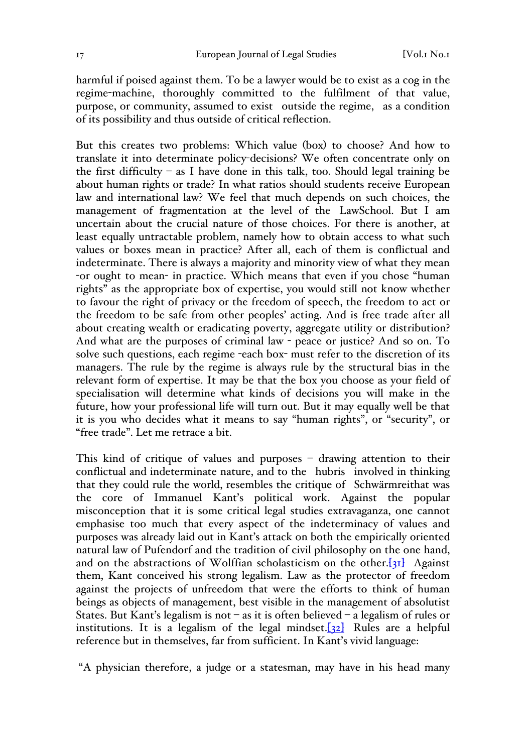harmful if poised against them. To be a lawyer would be to exist as a cog in the regime-machine, thoroughly committed to the fulfilment of that value, purpose, or community, assumed to exist outside the regime, as a condition of its possibility and thus outside of critical reflection.

But this creates two problems: Which value (box) to choose? And how to translate it into determinate policy-decisions? We often concentrate only on the first difficulty – as I have done in this talk, too. Should legal training be about human rights or trade? In what ratios should students receive European law and international law? We feel that much depends on such choices, the management of fragmentation at the level of the LawSchool. But I am uncertain about the crucial nature of those choices. For there is another, at least equally untractable problem, namely how to obtain access to what such values or boxes mean in practice? After all, each of them is conflictual and indeterminate. There is always a majority and minority view of what they mean -or ought to mean- in practice. Which means that even if you chose "human rights" as the appropriate box of expertise, you would still not know whether to favour the right of privacy or the freedom of speech, the freedom to act or the freedom to be safe from other peoples' acting. And is free trade after all about creating wealth or eradicating poverty, aggregate utility or distribution? And what are the purposes of criminal law - peace or justice? And so on. To solve such questions, each regime -each box- must refer to the discretion of its managers. The rule by the regime is always rule by the structural bias in the relevant form of expertise. It may be that the box you choose as your field of specialisation will determine what kinds of decisions you will make in the future, how your professional life will turn out. But it may equally well be that it is you who decides what it means to say "human rights", or "security", or "free trade". Let me retrace a bit.

This kind of critique of values and purposes – drawing attention to their conflictual and indeterminate nature, and to the hubris involved in thinking that they could rule the world, resembles the critique of Schwärmreithat was the core of Immanuel Kant's political work. Against the popular misconception that it is some critical legal studies extravaganza, one cannot emphasise too much that every aspect of the indeterminacy of values and purposes was already laid out in Kant's attack on both the empirically oriented natural law of Pufendorf and the tradition of civil philosophy on the one hand, and on the abstractions of Wolffian scholasticism on the other. $[31]$  Against them, Kant conceived his strong legalism. Law as the protector of freedom against the projects of unfreedom that were the efforts to think of human beings as objects of management, best visible in the management of absolutist States. But Kant's legalism is not – as it is often believed – a legalism of rules or institutions. It is a legalism of the legal mindset. $[32]$  Rules are a helpful reference but in themselves, far from sufficient. In Kant's vivid language:

"A physician therefore, a judge or a statesman, may have in his head many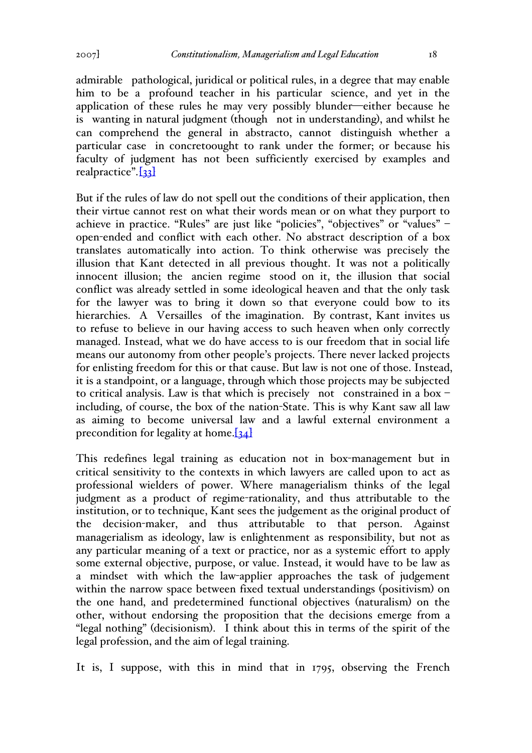application of these rules he may very possibly blunder—either because he is wanting in natural judgment (though not in understanding), and whilst he can comprehend the general in abstracto, cannot distinguish whether a particular case in concretoought to rank under the former; or because his faculty of judgment has not been sufficiently exercised by examples and realpractice".<sup>[33]</sup>

But if the rules of law do not spell out the conditions of their application, then their virtue cannot rest on what their words mean or on what they purport to achieve in practice. "Rules" are just like "policies", "objectives" or "values" – open-ended and conflict with each other. No abstract description of a box translates automatically into action. To think otherwise was precisely the illusion that Kant detected in all previous thought. It was not a politically innocent illusion; the ancien regime stood on it, the illusion that social conflict was already settled in some ideological heaven and that the only task for the lawyer was to bring it down so that everyone could bow to its hierarchies. A Versailles of the imagination. By contrast, Kant invites us to refuse to believe in our having access to such heaven when only correctly managed. Instead, what we do have access to is our freedom that in social life means our autonomy from other people's projects. There never lacked projects for enlisting freedom for this or that cause. But law is not one of those. Instead, it is a standpoint, or a language, through which those projects may be subjected to critical analysis. Law is that which is precisely not constrained in a box – including, of course, the box of the nation-State. This is why Kant saw all law as aiming to become universal law and a lawful external environment a precondition for legality at home. $[34]$ 

This redefines legal training as education not in box-management but in critical sensitivity to the contexts in which lawyers are called upon to act as professional wielders of power. Where managerialism thinks of the legal judgment as a product of regime-rationality, and thus attributable to the institution, or to technique, Kant sees the judgement as the original product of the decision-maker, and thus attributable to that person. Against managerialism as ideology, law is enlightenment as responsibility, but not as any particular meaning of a text or practice, nor as a systemic effort to apply some external objective, purpose, or value. Instead, it would have to be law as a mindset with which the law-applier approaches the task of judgement within the narrow space between fixed textual understandings (positivism) on the one hand, and predetermined functional objectives (naturalism) on the other, without endorsing the proposition that the decisions emerge from a "legal nothing" (decisionism). I think about this in terms of the spirit of the legal profession, and the aim of legal training.

It is, I suppose, with this in mind that in 1795, observing the French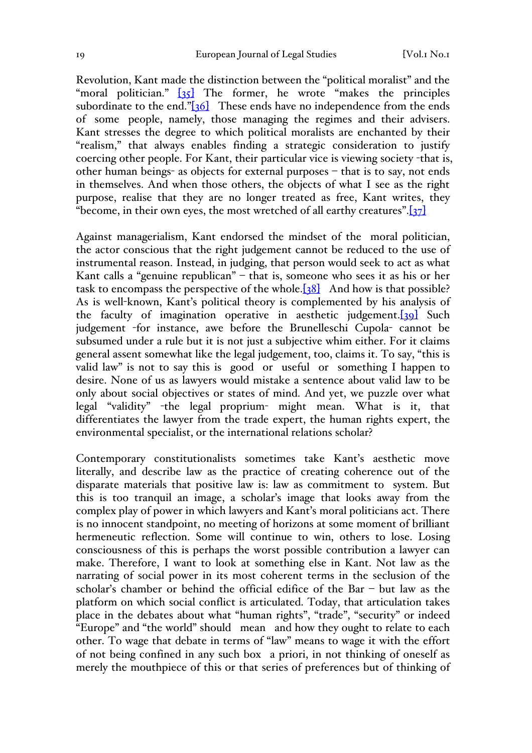Revolution, Kant made the distinction between the "political moralist" and the "moral politician."  $\begin{bmatrix} 35 \end{bmatrix}$  The former, he wrote "makes the principles" subordinate to the end." $[36]$  These ends have no independence from the ends of some people, namely, those managing the regimes and their advisers. Kant stresses the degree to which political moralists are enchanted by their "realism," that always enables finding a strategic consideration to justify coercing other people. For Kant, their particular vice is viewing society -that is, other human beings- as objects for external purposes – that is to say, not ends in themselves. And when those others, the objects of what I see as the right purpose, realise that they are no longer treated as free, Kant writes, they "become, in their own eyes, the most wretched of all earthy creatures". $[37]$ 

Against managerialism, Kant endorsed the mindset of the moral politician, the actor conscious that the right judgement cannot be reduced to the use of instrumental reason. Instead, in judging, that person would seek to act as what Kant calls a "genuine republican" – that is, someone who sees it as his or her task to encompass the perspective of the whole.[38] And how is that possible? As is well-known, Kant's political theory is complemented by his analysis of the faculty of imagination operative in aesthetic judgement.[39] Such judgement -for instance, awe before the Brunelleschi Cupola- cannot be subsumed under a rule but it is not just a subjective whim either. For it claims general assent somewhat like the legal judgement, too, claims it. To say, "this is valid law" is not to say this is good or useful or something I happen to desire. None of us as lawyers would mistake a sentence about valid law to be only about social objectives or states of mind. And yet, we puzzle over what legal "validity" -the legal proprium- might mean. What is it, that differentiates the lawyer from the trade expert, the human rights expert, the environmental specialist, or the international relations scholar?

Contemporary constitutionalists sometimes take Kant's aesthetic move literally, and describe law as the practice of creating coherence out of the disparate materials that positive law is: law as commitment to system. But this is too tranquil an image, a scholar's image that looks away from the complex play of power in which lawyers and Kant's moral politicians act. There is no innocent standpoint, no meeting of horizons at some moment of brilliant hermeneutic reflection. Some will continue to win, others to lose. Losing consciousness of this is perhaps the worst possible contribution a lawyer can make. Therefore, I want to look at something else in Kant. Not law as the narrating of social power in its most coherent terms in the seclusion of the scholar's chamber or behind the official edifice of the Bar – but law as the platform on which social conflict is articulated. Today, that articulation takes place in the debates about what "human rights", "trade", "security" or indeed "Europe" and "the world" should mean and how they ought to relate to each other. To wage that debate in terms of "law" means to wage it with the effort of not being confined in any such box a priori, in not thinking of oneself as merely the mouthpiece of this or that series of preferences but of thinking of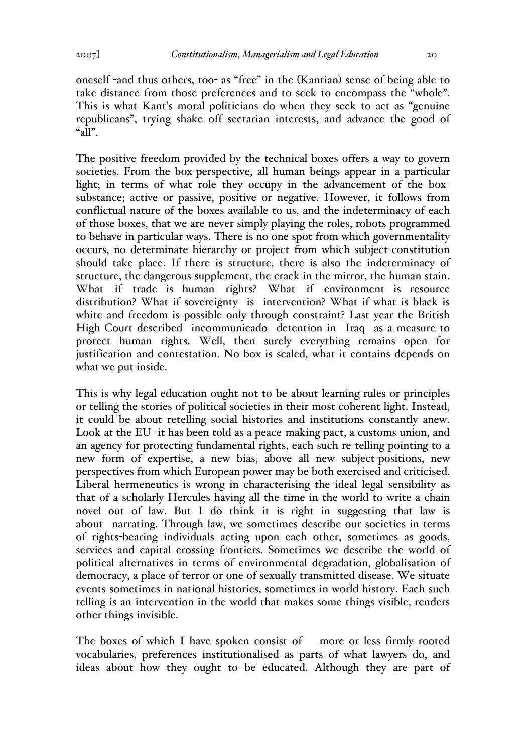oneself -and thus others, too- as "free" in the (Kantian) sense of being able to take distance from those preferences and to seek to encompass the "whole". This is what Kant's moral politicians do when they seek to act as "genuine republicans", trying shake off sectarian interests, and advance the good of "a $\bar{dl}$ ".

The positive freedom provided by the technical boxes offers a way to govern societies. From the box-perspective, all human beings appear in a particular light; in terms of what role they occupy in the advancement of the boxsubstance; active or passive, positive or negative. However, it follows from conflictual nature of the boxes available to us, and the indeterminacy of each of those boxes, that we are never simply playing the roles, robots programmed to behave in particular ways. There is no one spot from which governmentality occurs, no determinate hierarchy or project from which subject-constitution should take place. If there is structure, there is also the indeterminacy of structure, the dangerous supplement, the crack in the mirror, the human stain. What if trade is human rights? What if environment is resource distribution? What if sovereignty is intervention? What if what is black is white and freedom is possible only through constraint? Last year the British High Court described incommunicado detention in Iraq as a measure to protect human rights. Well, then surely everything remains open for justification and contestation. No box is sealed, what it contains depends on what we put inside.

This is why legal education ought not to be about learning rules or principles or telling the stories of political societies in their most coherent light. Instead, it could be about retelling social histories and institutions constantly anew. Look at the EU -it has been told as a peace-making pact, a customs union, and an agency for protecting fundamental rights, each such re-telling pointing to a new form of expertise, a new bias, above all new subject-positions, new perspectives from which European power may be both exercised and criticised. Liberal hermeneutics is wrong in characterising the ideal legal sensibility as that of a scholarly Hercules having all the time in the world to write a chain novel out of law. But I do think it is right in suggesting that law is about narrating. Through law, we sometimes describe our societies in terms of rights-bearing individuals acting upon each other, sometimes as goods, services and capital crossing frontiers. Sometimes we describe the world of political alternatives in terms of environmental degradation, globalisation of democracy, a place of terror or one of sexually transmitted disease. We situate events sometimes in national histories, sometimes in world history. Each such telling is an intervention in the world that makes some things visible, renders other things invisible.

The boxes of which I have spoken consist of more or less firmly rooted vocabularies, preferences institutionalised as parts of what lawyers do, and ideas about how they ought to be educated. Although they are part of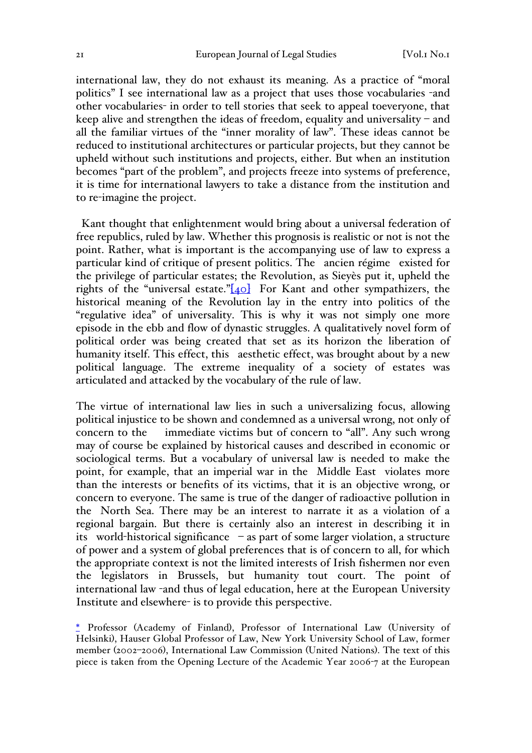international law, they do not exhaust its meaning. As a practice of "moral politics" I see international law as a project that uses those vocabularies -and other vocabularies- in order to tell stories that seek to appeal toeveryone, that keep alive and strengthen the ideas of freedom, equality and universality – and all the familiar virtues of the "inner morality of law". These ideas cannot be reduced to institutional architectures or particular projects, but they cannot be upheld without such institutions and projects, either. But when an institution becomes "part of the problem", and projects freeze into systems of preference, it is time for international lawyers to take a distance from the institution and to re-imagine the project.

 Kant thought that enlightenment would bring about a universal federation of free republics, ruled by law. Whether this prognosis is realistic or not is not the point. Rather, what is important is the accompanying use of law to express a particular kind of critique of present politics. The ancien régime existed for the privilege of particular estates; the Revolution, as Sieyès put it, upheld the rights of the "universal estate." $[40]$  For Kant and other sympathizers, the historical meaning of the Revolution lay in the entry into politics of the "regulative idea" of universality. This is why it was not simply one more episode in the ebb and flow of dynastic struggles. A qualitatively novel form of political order was being created that set as its horizon the liberation of humanity itself. This effect, this aesthetic effect, was brought about by a new political language. The extreme inequality of a society of estates was articulated and attacked by the vocabulary of the rule of law.

The virtue of international law lies in such a universalizing focus, allowing political injustice to be shown and condemned as a universal wrong, not only of concern to the immediate victims but of concern to "all". Any such wrong may of course be explained by historical causes and described in economic or sociological terms. But a vocabulary of universal law is needed to make the point, for example, that an imperial war in the Middle East violates more than the interests or benefits of its victims, that it is an objective wrong, or concern to everyone. The same is true of the danger of radioactive pollution in the North Sea. There may be an interest to narrate it as a violation of a regional bargain. But there is certainly also an interest in describing it in its world-historical significance – as part of some larger violation, a structure of power and a system of global preferences that is of concern to all, for which the appropriate context is not the limited interests of Irish fishermen nor even the legislators in Brussels, but humanity tout court. The point of international law -and thus of legal education, here at the European University Institute and elsewhere- is to provide this perspective.

\* Professor (Academy of Finland), Professor of International Law (University of Helsinki), Hauser Global Professor of Law, New York University School of Law, former member (2002–2006), International Law Commission (United Nations). The text of this piece is taken from the Opening Lecture of the Academic Year 2006-7 at the European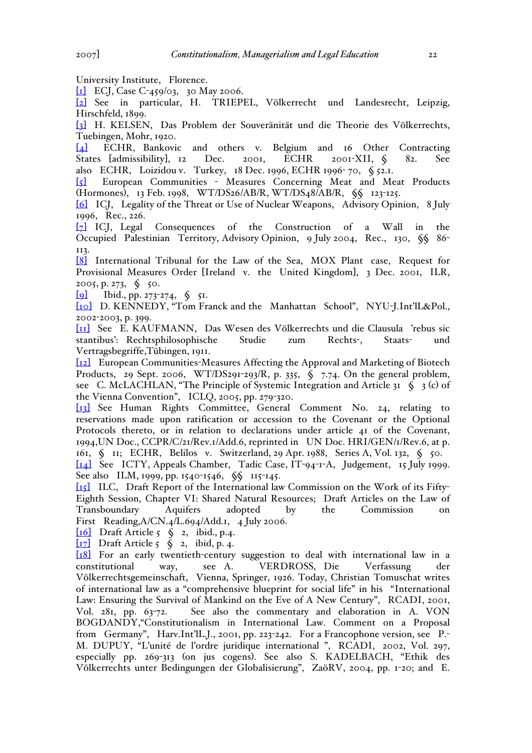University Institute, Florence.

[1] ECJ, Case C-459/03, 30 May 2006.

[2] See in particular, H. TRIEPEL, Völkerrecht und Landesrecht, Leipzig, Hirschfeld, 1899.

[3] H. KELSEN, Das Problem der Souveränität und die Theorie des Völkerrechts, Tuebingen, Mohr, 1920.

[4] ECHR, Bankovic and others v. Belgium and 16 Other Contracting States [admissibility], 12 Dec. 2001, ECHR 2001-XII, § 82. See also ECHR, Loizidou v. Turkey, 18 Dec. 1996, ECHR 1996- 70, § 52.1.

[5] European Communities - Measures Concerning Meat and Meat Products (Hormones), 13 Feb. 1998, WT/DS26/AB/R, WT/DS48/AB/R, §§ 123-125.

[6] ICJ, Legality of the Threat or Use of Nuclear Weapons, Advisory Opinion, 8 July 1996, Rec., 226.

[7] ICJ, Legal Consequences of the Construction of a Wall in the Occupied Palestinian Territory, Advisory Opinion, 9 July 2004, Rec., 130, §§ 86- 113.

[8] International Tribunal for the Law of the Sea, MOX Plant case, Request for Provisional Measures Order [Ireland v. the United Kingdom], 3 Dec. 2001, ILR, 2005, p. 273, § 50.

[9] Ibid., pp. 273-274, § 51.

[10] D. KENNEDY, "Tom Franck and the Manhattan School", NYU-J.Int'lL&Pol., 2002-2003, p. 399.

[11] See E. KAUFMANN, Das Wesen des Völkerrechts und die Clausula 'rebus sic stantibus': Rechtsphilosophische Studie zum Rechts-, Staats- und Vertragsbegriffe,Tübingen, 1911.

[12] European Communities-Measures Affecting the Approval and Marketing of Biotech Products, 29 Sept. 2006, WT/DS291-293/R, p. 335,  $\oint$  7.74. On the general problem, see C. McLACHLAN, "The Principle of Systemic Integration and Article 31 § 3 (c) of the Vienna Convention", ICLQ, 2005, pp. 279-320.

[13] See Human Rights Committee, General Comment No. 24, relating to reservations made upon ratification or accession to the Covenant or the Optional Protocols thereto, or in relation to declarations under article 41 of the Covenant, 1994,UN Doc., CCPR/C/21/Rev.1/Add.6, reprinted in UN Doc. HRI/GEN/1/Rev.6, at p. 161, § 11; ECHR, Belilos v. Switzerland, 29 Apr. 1988, Series A, Vol. 132, § 50. [14] See ICTY, Appeals Chamber, Tadic Case, IT-94-1-A, Judgement, 15 July 1999. See also ILM, 1999, pp. 1540-1546, §§ 115-145.

[15] ILC, Draft Report of the International law Commission on the Work of its Fifty-Eighth Session, Chapter VI: Shared Natural Resources; Draft Articles on the Law of Transboundary Aquifers adopted by the Commission on First Reading,A/CN.4/L.694/Add.1, 4 July 2006.

[16] Draft Article 5 § 2, ibid., p.4.

 $\begin{bmatrix} 17 \end{bmatrix}$  Draft Article 5  $\zeta$  2, ibid, p. 4.

[18] For an early twentieth-century suggestion to deal with international law in a constitutional way, see A. VERDROSS, Die Verfassung der Völkerrechtsgemeinschaft, Vienna, Springer, 1926. Today, Christian Tomuschat writes of international law as a "comprehensive blueprint for social life" in his "International Law: Ensuring the Survival of Mankind on the Eve of A New Century", RCADI, 2001, Vol. 281, pp. 63-72. See also the commentary and elaboration in A. VON BOGDANDY,"Constitutionalism in International Law. Comment on a Proposal from Germany", Harv.Int'lL.J., 2001, pp. 223-242. For a Francophone version, see P.- M. DUPUY, "L'unité de l'ordre juridique international ", RCADI, 2002, Vol. 297, especially pp. 269-313 (on jus cogens). See also S. KADELBACH, "Ethik des Völkerrechts unter Bedingungen der Globalisierung", ZaöRV, 2004, pp. 1-20; and E.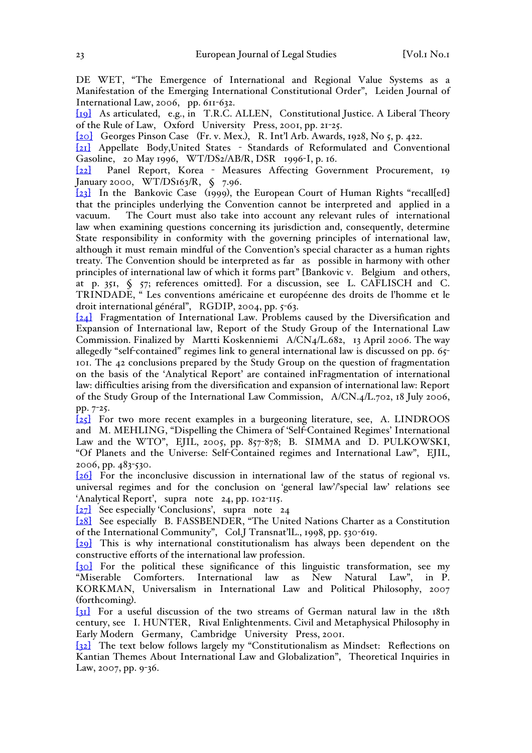DE WET, "The Emergence of International and Regional Value Systems as a Manifestation of the Emerging International Constitutional Order", Leiden Journal of International Law, 2006, pp. 611-632.

[19] As articulated, e.g., in T.R.C. ALLEN, Constitutional Justice. A Liberal Theory of the Rule of Law, Oxford University Press, 2001, pp. 21-25.

[20] Georges Pinson Case (Fr. v. Mex.), R. Int'l Arb. Awards, 1928, No 5, p. 422.

[21] Appellate Body,United States - Standards of Reformulated and Conventional Gasoline, 20 May 1996, WT/DS2/AB/R, DSR 1996-I, p. 16.

[22] Panel Report, Korea - Measures Affecting Government Procurement, 19 January 2000, WT/DS163/R, § 7.96.

[23] In the Bankovic Case (1999), the European Court of Human Rights "recall[ed] that the principles underlying the Convention cannot be interpreted and applied in a vacuum. The Court must also take into account any relevant rules of international law when examining questions concerning its jurisdiction and, consequently, determine State responsibility in conformity with the governing principles of international law, although it must remain mindful of the Convention's special character as a human rights treaty. The Convention should be interpreted as far as possible in harmony with other principles of international law of which it forms part" [Bankovic v. Belgium and others, at p. 351, § 57; references omitted]. For a discussion, see L. CAFLISCH and C. TRINDADE, " Les conventions américaine et européenne des droits de l'homme et le droit international général", RGDIP, 2004, pp. 5-63.

[24] Fragmentation of International Law. Problems caused by the Diversification and Expansion of International law, Report of the Study Group of the International Law Commission. Finalized by Martti Koskenniemi  $A/CN<sub>4</sub>/L.682$ , 13 April 2006. The way allegedly "self-contained" regimes link to general international law is discussed on pp. 65-101. The 42 conclusions prepared by the Study Group on the question of fragmentation on the basis of the 'Analytical Report' are contained inFragmentation of international law: difficulties arising from the diversification and expansion of international law: Report of the Study Group of the International Law Commission, A/CN.4/L.702, 18 July 2006, pp. 7-25.

[25] For two more recent examples in a burgeoning literature, see, A. LINDROOS and M. MEHLING, "Dispelling the Chimera of 'Self-Contained Regimes' International Law and the WTO", EJIL, 2005, pp. 857-878; B. SIMMA and D. PULKOWSKI, "Of Planets and the Universe: Self-Contained regimes and International Law", EJIL, 2006, pp. 483-530.

[26] For the inconclusive discussion in international law of the status of regional vs. universal regimes and for the conclusion on 'general law'/'special law' relations see 'Analytical Report', supra note 24, pp. 102-115.

[27] See especially 'Conclusions', supra note 24

[28] See especially B. FASSBENDER, "The United Nations Charter as a Constitution of the International Community", Col.J Transnat'lL., 1998, pp. 530-619.

[29] This is why international constitutionalism has always been dependent on the constructive efforts of the international law profession.

[30] For the political these significance of this linguistic transformation, see my "Miserable Comforters. International law as New Natural Law", in P. KORKMAN, Universalism in International Law and Political Philosophy, 2007 (forthcoming).

[31] For a useful discussion of the two streams of German natural law in the 18th century, see I. HUNTER, Rival Enlightenments. Civil and Metaphysical Philosophy in Early Modern Germany, Cambridge University Press, 2001.

[32] The text below follows largely my "Constitutionalism as Mindset: Reflections on Kantian Themes About International Law and Globalization", Theoretical Inquiries in Law, 2007, pp. 9-36.